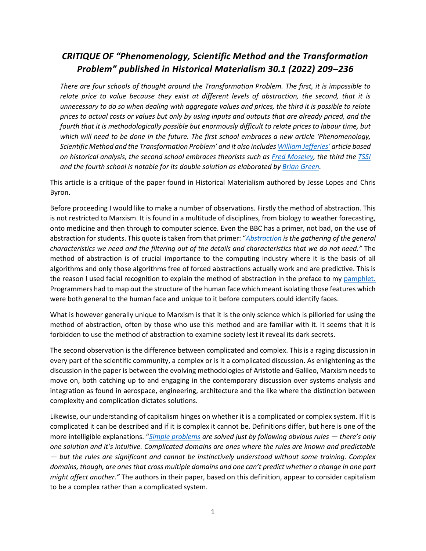## *CRITIQUE OF "Phenomenology, Scientific Method and the Transformation Problem" published in Historical Materialism 30.1 (2022) 209–236*

*There are four schools of thought around the Transformation Problem. The first, it is impossible to relate price to value because they exist at different levels of abstraction, the second, that it is unnecessary to do so when dealing with aggregate values and prices, the third it is possible to relate prices to actual costs or values but only by using inputs and outputs that are already priced, and the fourth that it is methodologically possible but enormously difficult to relate prices to labour time, but which will need to be done in the future. The first school embraces a new article 'Phenomenology, Scientific Method and the Transformation Problem' and it also include[s William Jefferies](https://www.researchgate.net/publication/353456467_Marx)' article based on historical analysis, the second school embraces theorists such as [Fred Moseley,](https://ir.canterbury.ac.nz/bitstream/handle/10092/14498/17%20MOSELEY%20CAPITAL.pdf?sequence=6) the third th[e TSSI](https://www.marxisthumanistinitiative.org/miscellaneous/you-get-what-you-pay-for-response-to-a-plagiarized-online-critique-of-the-tssi.html) and the fourth school is notable for its double solution as elaborated by [Brian Green.](http://theplanningmotive.com/2022/03/25/correcting-and-summing-up-the-double-solution-to-the-transformation-problem/)*

This article is a critique of the paper found in Historical Materialism authored by Jesse Lopes and Chris Byron.

Before proceeding I would like to make a number of observations. Firstly the method of abstraction. This is not restricted to Marxism. It is found in a multitude of disciplines, from biology to weather forecasting, onto medicine and then through to computer science. Even the BBC has a primer, not bad, on the use of abstraction for students. This quote is taken from that primer: "*[Abstraction](https://www.bbc.co.uk/bitesize/guides/zttrcdm/revision/2) is the gathering of the general characteristics we need and the filtering out of the details and characteristics that we do not need."* The method of abstraction is of crucial importance to the computing industry where it is the basis of all algorithms and only those algorithms free of forced abstractions actually work and are predictive. This is the reason I used facial recognition to explain the method of abstraction in the preface to my [pamphlet.](http://theplanningmotive.com/latest-version-21st-century-draft-programme/) Programmers had to map out the structure of the human face which meant isolating those features which were both general to the human face and unique to it before computers could identify faces.

What is however generally unique to Marxism is that it is the only science which is pilloried for using the method of abstraction, often by those who use this method and are familiar with it. It seems that it is forbidden to use the method of abstraction to examine society lest it reveal its dark secrets.

The second observation is the difference between complicated and complex. This is a raging discussion in every part of the scientific community, a complex or is it a complicated discussion. As enlightening as the discussion in the paper is between the evolving methodologies of Aristotle and Galileo, Marxism needs to move on, both catching up to and engaging in the contemporary discussion over systems analysis and integration as found in aerospace, engineering, architecture and the like where the distinction between complexity and complication dictates solutions.

Likewise, our understanding of capitalism hinges on whether it is a complicated or complex system. If it is complicated it can be described and if it is complex it cannot be. Definitions differ, but here is one of the more intelligible explanations. "*[Simple problems](https://medium.com/td-lab/complex-vs-complicated-which-problem-are-you-solving-211a55ca9251) are solved just by following obvious rules — there's only one solution and it's intuitive. Complicated domains are ones where the rules are known and predictable — but the rules are significant and cannot be instinctively understood without some training. Complex domains, though, are ones that cross multiple domains and one can't predict whether a change in one part might affect another."* The authors in their paper, based on this definition, appear to consider capitalism to be a complex rather than a complicated system.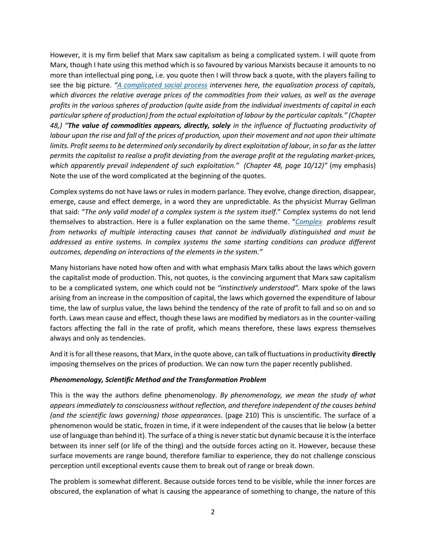However, it is my firm belief that Marx saw capitalism as being a complicated system. I will quote from Marx, though I hate using this method which is so favoured by various Marxists because it amounts to no more than intellectual ping pong, i.e. you quote then I will throw back a quote, with the players failing to see the big picture. *"[A complicated social process](https://politicaleconomypup.weebly.com/uploads/3/1/4/9/31493517/das_kapital_-_volume_3.pdf) intervenes here, the equalisation process of capitals, which divorces the relative average prices of the commodities from their values, as well as the average profits in the various spheres of production (quite aside from the individual investments of capital in each particular sphere of production) from the actual exploitation of labour by the particular capitals." (Chapter 48,) "The value of commodities appears, directly, solely in the influence of fluctuating productivity of labour upon the rise and fall of the prices of production, upon their movement and not upon their ultimate limits. Profit seems to be determined only secondarily by direct exploitation of labour, in so far as the latter permits the capitalist to realise a profit deviating from the average profit at the regulating market-prices, which apparently prevail independent of such exploitation." (Chapter 48, page 10/12)"* (my emphasis) Note the use of the word complicated at the beginning of the quotes.

Complex systems do not have laws or rules in modern parlance. They evolve, change direction, disappear, emerge, cause and effect demerge, in a word they are unpredictable. As the physicist Murray Gellman that said: "*The only valid model of a complex system is the system itself*." Complex systems do not lend themselves to abstraction. Here is a fuller explanation on the same theme. "*[Complex](https://investigationsquality.com/2019/12/05/the-difference-between-complex-and-complicated/comment-page-1/) problems result from networks of multiple interacting causes that cannot be individually distinguished and must be addressed as entire systems. In complex systems the same starting conditions can produce different outcomes, depending on interactions of the elements in the system."*

Many historians have noted how often and with what emphasis Marx talks about the laws which govern the capitalist mode of production. This, not quotes, is the convincing argument that Marx saw capitalism to be a complicated system, one which could not be *"instinctively understood".* Marx spoke of the laws arising from an increase in the composition of capital, the laws which governed the expenditure of labour time, the law of surplus value, the laws behind the tendency of the rate of profit to fall and so on and so forth. Laws mean cause and effect, though these laws are modified by mediators as in the counter-vailing factors affecting the fall in the rate of profit, which means therefore, these laws express themselves always and only as tendencies.

And it is for all these reasons, that Marx, in the quote above, can talk of fluctuations in productivity **directly** imposing themselves on the prices of production. We can now turn the paper recently published.

## *Phenomenology, Scientific Method and the Transformation Problem*

This is the way the authors define phenomenology. *By phenomenology, we mean the study of what appears immediately to consciousness without reflection, and therefore independent of the causes behind (and the scientific laws governing) those appearances*. (page 210) This is unscientific. The surface of a phenomenon would be static, frozen in time, if it were independent of the causes that lie below (a better use of language than behind it). The surface of a thing is neverstatic but dynamic because it is the interface between its inner self (or life of the thing) and the outside forces acting on it. However, because these surface movements are range bound, therefore familiar to experience, they do not challenge conscious perception until exceptional events cause them to break out of range or break down.

The problem is somewhat different. Because outside forces tend to be visible, while the inner forces are obscured, the explanation of what is causing the appearance of something to change, the nature of this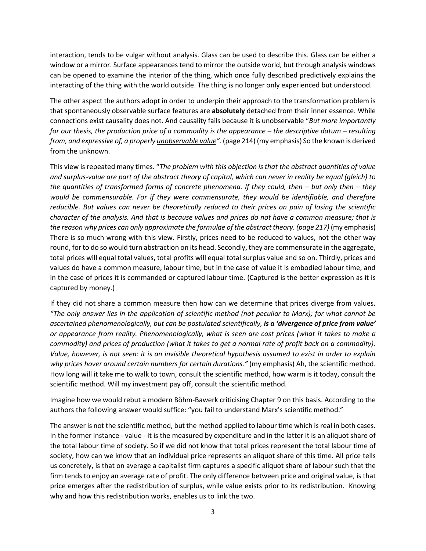interaction, tends to be vulgar without analysis. Glass can be used to describe this. Glass can be either a window or a mirror. Surface appearances tend to mirror the outside world, but through analysis windows can be opened to examine the interior of the thing, which once fully described predictively explains the interacting of the thing with the world outside. The thing is no longer only experienced but understood.

The other aspect the authors adopt in order to underpin their approach to the transformation problem is that spontaneously observable surface features are **absolutely** detached from their inner essence. While connections exist causality does not. And causality fails because it is unobservable "*But more importantly for our thesis, the production price of a commodity is the appearance – the descriptive datum – resulting from, and expressive of, a properly unobservable value".* (page 214) (my emphasis) So the known is derived from the unknown.

This view is repeated many times. "*The problem with this objection is that the abstract quantities of value and surplus-value are part of the abstract theory of capital, which can never in reality be equal (gleich) to the quantities of transformed forms of concrete phenomena. If they could, then – but only then – they would be commensurable. For if they were commensurate, they would be identifiable, and therefore reducible. But values can never be theoretically reduced to their prices on pain of losing the scientific character of the analysis. And that is because values and prices do not have a common measure; that is the reason why prices can only approximate the formulae of the abstract theory. (page 217)* (my emphasis) There is so much wrong with this view. Firstly, prices need to be reduced to values, not the other way round, for to do so would turn abstraction on its head. Secondly, they are commensurate in the aggregate, total prices will equal total values, total profits will equal total surplus value and so on. Thirdly, prices and values do have a common measure, labour time, but in the case of value it is embodied labour time, and in the case of prices it is commanded or captured labour time. (Captured is the better expression as it is captured by money.)

If they did not share a common measure then how can we determine that prices diverge from values. *"The only answer lies in the application of scientific method (not peculiar to Marx); for what cannot be ascertained phenomenologically, but can be postulated scientifically, is a 'divergence of price from value' or appearance from reality. Phenomenologically, what is seen are cost prices (what it takes to make a commodity) and prices of production (what it takes to get a normal rate of profit back on a commodity). Value, however, is not seen: it is an invisible theoretical hypothesis assumed to exist in order to explain why prices hover around certain numbers for certain durations."* (my emphasis) Ah, the scientific method. How long will it take me to walk to town, consult the scientific method, how warm is it today, consult the scientific method. Will my investment pay off, consult the scientific method.

Imagine how we would rebut a modern Böhm-Bawerk criticising Chapter 9 on this basis. According to the authors the following answer would suffice: "you fail to understand Marx's scientific method."

The answer is not the scientific method, but the method applied to labour time which is real in both cases. In the former instance - value - it is the measured by expenditure and in the latter it is an aliquot share of the total labour time of society. So if we did not know that total prices represent the total labour time of society, how can we know that an individual price represents an aliquot share of this time. All price tells us concretely, is that on average a capitalist firm captures a specific aliquot share of labour such that the firm tends to enjoy an average rate of profit. The only difference between price and original value, is that price emerges after the redistribution of surplus, while value exists prior to its redistribution. Knowing why and how this redistribution works, enables us to link the two.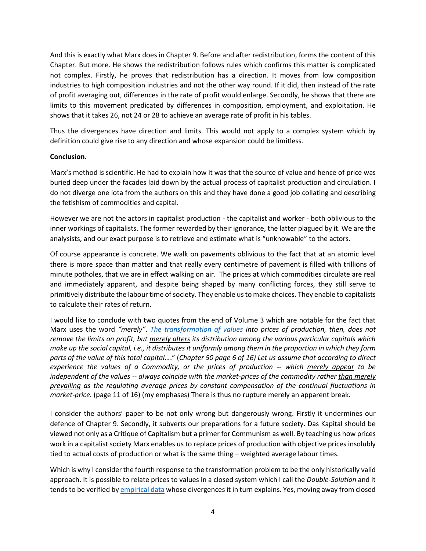And this is exactly what Marx does in Chapter 9. Before and after redistribution, forms the content of this Chapter. But more. He shows the redistribution follows rules which confirms this matter is complicated not complex. Firstly, he proves that redistribution has a direction. It moves from low composition industries to high composition industries and not the other way round. If it did, then instead of the rate of profit averaging out, differences in the rate of profit would enlarge. Secondly, he shows that there are limits to this movement predicated by differences in composition, employment, and exploitation. He shows that it takes 26, not 24 or 28 to achieve an average rate of profit in his tables.

Thus the divergences have direction and limits. This would not apply to a complex system which by definition could give rise to any direction and whose expansion could be limitless.

## **Conclusion.**

Marx's method is scientific. He had to explain how it was that the source of value and hence of price was buried deep under the facades laid down by the actual process of capitalist production and circulation. I do not diverge one iota from the authors on this and they have done a good job collating and describing the fetishism of commodities and capital.

However we are not the actors in capitalist production - the capitalist and worker - both oblivious to the inner workings of capitalists. The former rewarded by their ignorance, the latter plagued by it. We are the analysists, and our exact purpose is to retrieve and estimate what is "unknowable" to the actors.

Of course appearance is concrete. We walk on pavements oblivious to the fact that at an atomic level there is more space than matter and that really every centimetre of pavement is filled with trillions of minute potholes, that we are in effect walking on air. The prices at which commodities circulate are real and immediately apparent, and despite being shaped by many conflicting forces, they still serve to primitively distribute the labour time of society. They enable us to make choices. They enable to capitalists to calculate their rates of return.

I would like to conclude with two quotes from the end of Volume 3 which are notable for the fact that Marx uses the word *"merely"*. *[The transformation of values](https://politicaleconomypup.weebly.com/uploads/3/1/4/9/31493517/das_kapital_-_volume_3.pdf) into prices of production, then, does not remove the limits on profit, but merely alters its distribution among the various particular capitals which make up the social capital, i.e., it distributes it uniformly among them in the proportion in which they form parts of the value of this total capital…*." (*Chapter 50 page 6 of 16) Let us assume that according to direct experience the values of a Commodity, or the prices of production -- which merely appear to be independent of the values -- always coincide with the market-prices of the commodity rather than merely prevailing as the regulating average prices by constant compensation of the continual fluctuations in market-price.* (page 11 of 16) (my emphases) There is thus no rupture merely an apparent break.

I consider the authors' paper to be not only wrong but dangerously wrong. Firstly it undermines our defence of Chapter 9. Secondly, it subverts our preparations for a future society. Das Kapital should be viewed not only as a Critique of Capitalism but a primer for Communism as well. By teaching us how prices work in a capitalist society Marx enables us to replace prices of production with objective prices insolubly tied to actual costs of production or what is the same thing – weighted average labour times.

Which is why I consider the fourth response to the transformation problem to be the only historically valid approach. It is possible to relate prices to values in a closed system which I call the *Double-Solution* and it tends to be verified b[y empirical data](http://theplanningmotive.com/2022/02/21/emperical-support-for-the-double-solution-to-the-transformation-problem/) whose divergences it in turn explains. Yes, moving away from closed